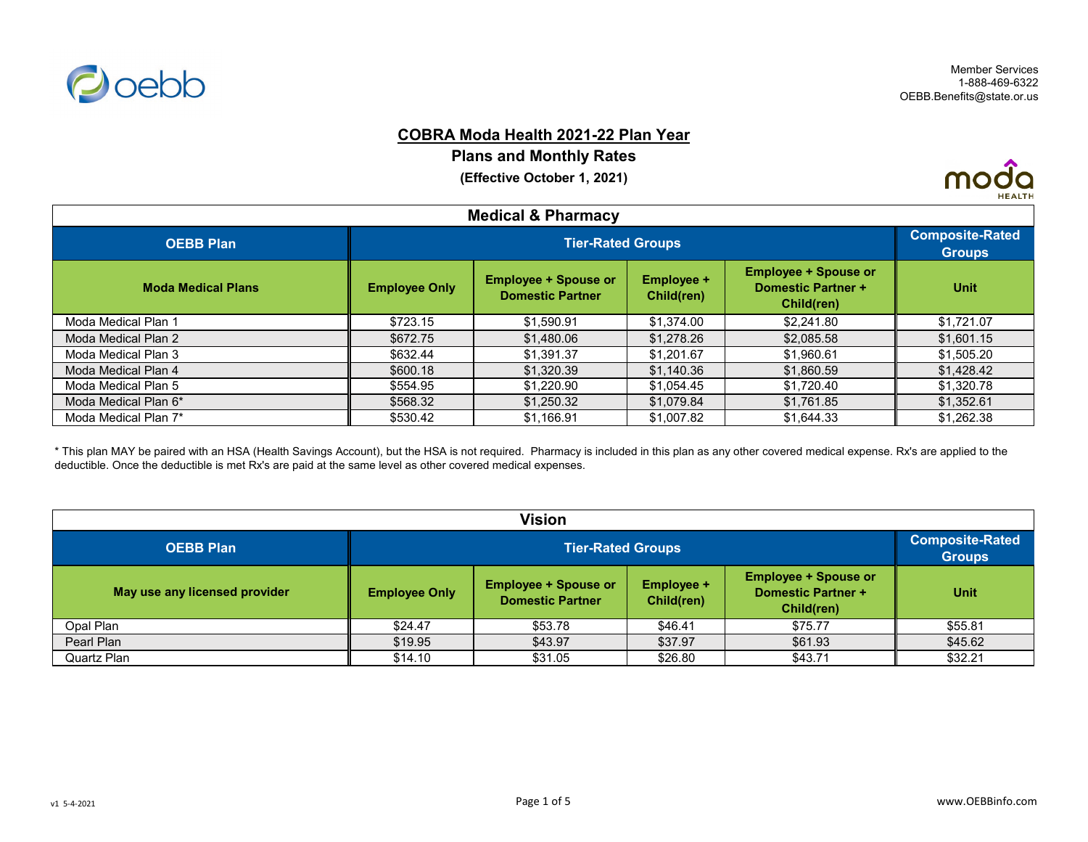

# **COBRA Moda Health 2021-22 Plan Year**

**Plans and Monthly Rates**

**(Effective October 1, 2021)**



| <b>Medical &amp; Pharmacy</b> |                      |                                                        |                                 |                                                                               |             |  |
|-------------------------------|----------------------|--------------------------------------------------------|---------------------------------|-------------------------------------------------------------------------------|-------------|--|
| <b>OEBB Plan</b>              |                      | <b>Tier-Rated Groups</b>                               |                                 |                                                                               |             |  |
| <b>Moda Medical Plans</b>     | <b>Employee Only</b> | <b>Employee + Spouse or</b><br><b>Domestic Partner</b> | <b>Employee +</b><br>Child(ren) | <b>Employee + Spouse or</b><br><b>Domestic Partner +</b><br><b>Child(ren)</b> | <b>Unit</b> |  |
| Moda Medical Plan 1           | \$723.15             | \$1,590.91                                             | \$1,374.00                      | \$2,241.80                                                                    | \$1,721.07  |  |
| Moda Medical Plan 2           | \$672.75             | \$1,480.06                                             | \$1,278.26                      | \$2,085.58                                                                    | \$1,601.15  |  |
| Moda Medical Plan 3           | \$632.44             | \$1,391.37                                             | \$1,201.67                      | \$1,960.61                                                                    | \$1,505.20  |  |
| Moda Medical Plan 4           | \$600.18             | \$1,320.39                                             | \$1,140.36                      | \$1,860.59                                                                    | \$1,428.42  |  |
| Moda Medical Plan 5           | \$554.95             | \$1,220.90                                             | \$1,054.45                      | \$1,720.40                                                                    | \$1,320.78  |  |
| Moda Medical Plan 6*          | \$568.32             | \$1,250.32                                             | \$1,079.84                      | \$1,761.85                                                                    | \$1,352.61  |  |
| Moda Medical Plan 7*          | \$530.42             | \$1,166.91                                             | \$1,007.82                      | \$1,644.33                                                                    | \$1,262.38  |  |

\* This plan MAY be paired with an HSA (Health Savings Account), but the HSA is not required. Pharmacy is included in this plan as any other covered medical expense. Rx's are applied to the deductible. Once the deductible is met Rx's are paid at the same level as other covered medical expenses.

| Vision                        |                      |                          |         |         |         |  |
|-------------------------------|----------------------|--------------------------|---------|---------|---------|--|
| <b>OEBB Plan</b>              |                      | <b>Tier-Rated Groups</b> |         |         |         |  |
| May use any licensed provider | <b>Employee Only</b> | <b>Unit</b>              |         |         |         |  |
| Opal Plan                     | \$24.47              | \$53.78                  | \$46.41 | \$75.77 | \$55.81 |  |
| Pearl Plan                    | \$19.95              | \$43.97                  | \$37.97 | \$61.93 | \$45.62 |  |
| Quartz Plan                   | \$14.10              | \$31.05                  | \$26.80 | \$43.71 | \$32.21 |  |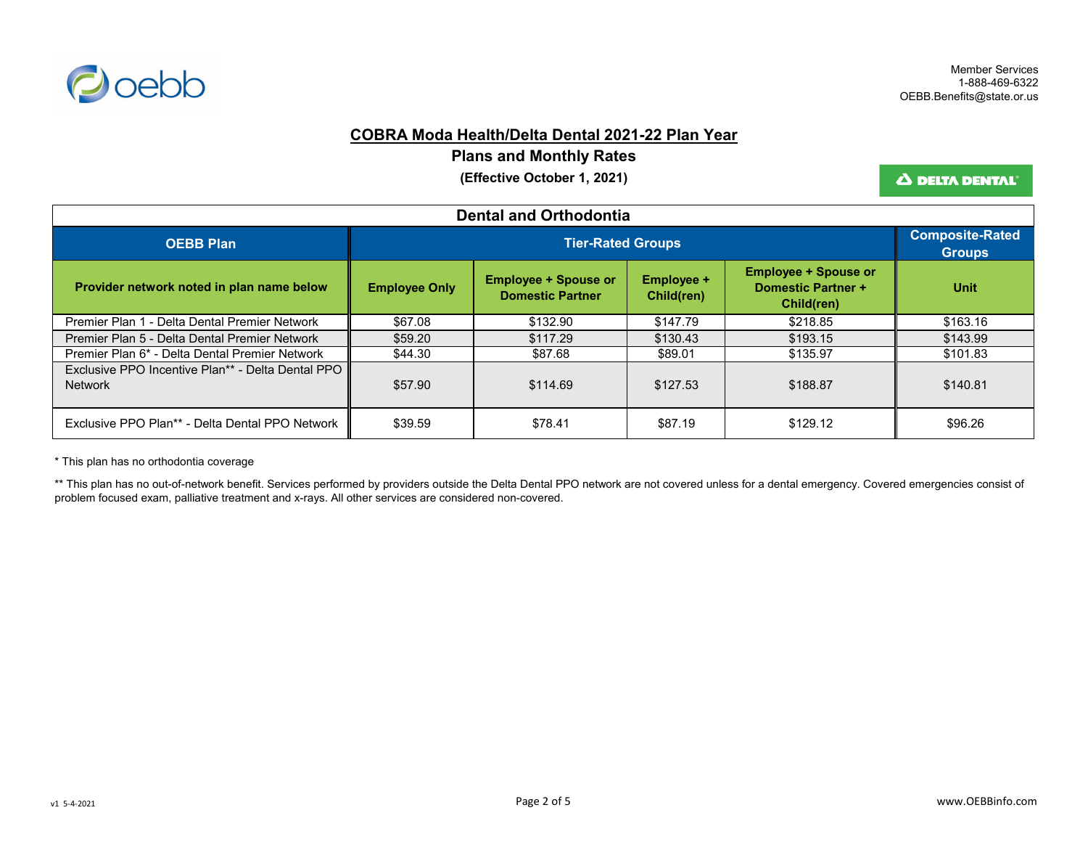

## **COBRA Moda Health/Delta Dental 2021-22 Plan Year**

**Plans and Monthly Rates**

**(Effective October 1, 2021)**

Δ DELTA DENTAL'

| <b>Dental and Orthodontia</b>                                       |                      |                                                                                                                                                                            |          |          |          |  |
|---------------------------------------------------------------------|----------------------|----------------------------------------------------------------------------------------------------------------------------------------------------------------------------|----------|----------|----------|--|
| <b>OEBB Plan</b>                                                    |                      | <b>Tier-Rated Groups</b>                                                                                                                                                   |          |          |          |  |
| Provider network noted in plan name below                           | <b>Employee Only</b> | <b>Employee + Spouse or</b><br><b>Employee + Spouse or</b><br><b>Employee +</b><br><b>Domestic Partner +</b><br><b>Domestic Partner</b><br>Child(ren)<br><b>Child(ren)</b> |          |          |          |  |
| Premier Plan 1 - Delta Dental Premier Network                       | \$67.08              | \$132.90                                                                                                                                                                   | \$147.79 | \$218.85 | \$163.16 |  |
| Premier Plan 5 - Delta Dental Premier Network                       | \$59.20              | \$117.29                                                                                                                                                                   | \$130.43 | \$193.15 | \$143.99 |  |
| Premier Plan 6* - Delta Dental Premier Network                      | \$44.30              | \$87.68                                                                                                                                                                    | \$89.01  | \$135.97 | \$101.83 |  |
| Exclusive PPO Incentive Plan** - Delta Dental PPO<br><b>Network</b> | \$57.90              | \$114.69                                                                                                                                                                   | \$127.53 | \$188.87 | \$140.81 |  |
| Exclusive PPO Plan** - Delta Dental PPO Network                     | \$39.59              | \$78.41                                                                                                                                                                    | \$87.19  | \$129.12 | \$96.26  |  |

\* This plan has no orthodontia coverage

\*\* This plan has no out-of-network benefit. Services performed by providers outside the Delta Dental PPO network are not covered unless for a dental emergency. Covered emergencies consist of problem focused exam, palliative treatment and x-rays. All other services are considered non-covered.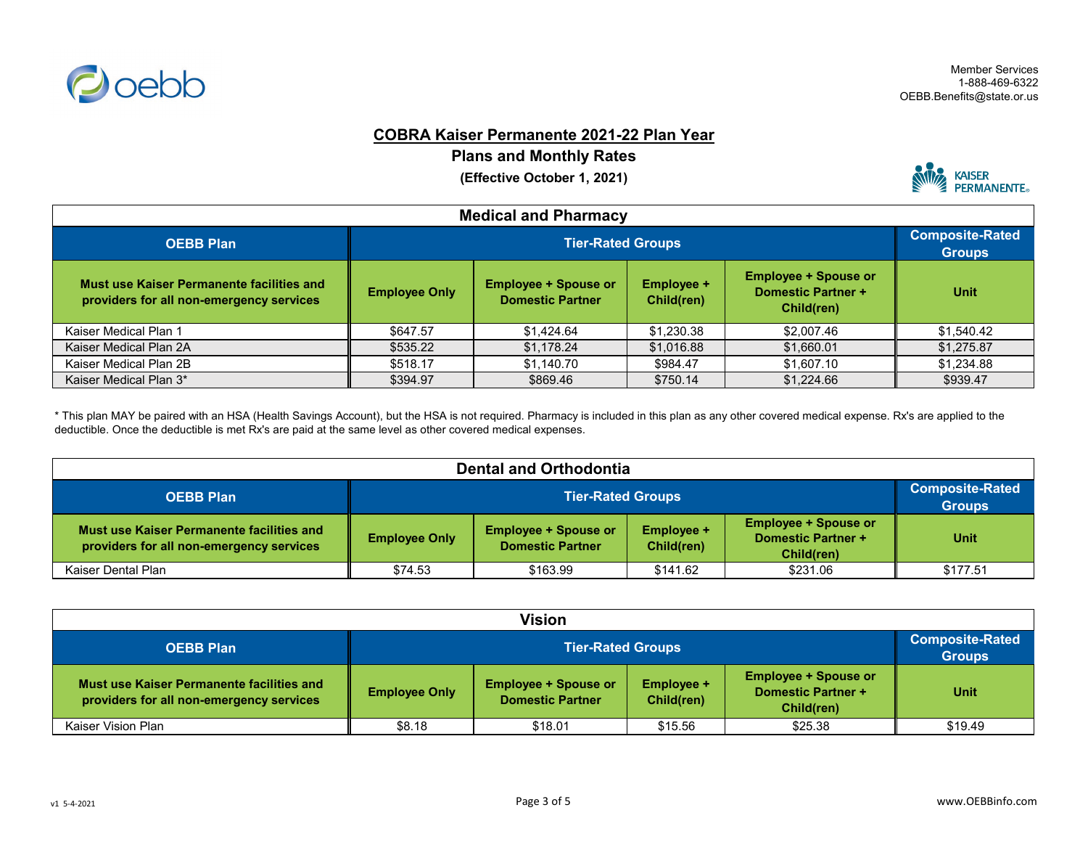

## **COBRA Kaiser Permanente 2021-22 Plan Year**

**Plans and Monthly Rates**

**(Effective October 1, 2021)**



| <b>Medical and Pharmacy</b>                                                           |                      |                                                        |                                 |                                                                        |             |  |
|---------------------------------------------------------------------------------------|----------------------|--------------------------------------------------------|---------------------------------|------------------------------------------------------------------------|-------------|--|
| <b>OEBB Plan</b>                                                                      |                      | <b>Tier-Rated Groups</b>                               |                                 |                                                                        |             |  |
| Must use Kaiser Permanente facilities and<br>providers for all non-emergency services | <b>Employee Only</b> | <b>Employee + Spouse or</b><br><b>Domestic Partner</b> | <b>Employee +</b><br>Child(ren) | <b>Employee + Spouse or</b><br><b>Domestic Partner +</b><br>Child(ren) | <b>Unit</b> |  |
| Kaiser Medical Plan 1                                                                 | \$647.57             | \$1,424.64                                             | \$1,230.38                      | \$2,007.46                                                             | \$1,540.42  |  |
| Kaiser Medical Plan 2A                                                                | \$535.22             | \$1,178.24                                             | \$1,016.88                      | \$1,660.01                                                             | \$1,275.87  |  |
| Kaiser Medical Plan 2B                                                                | \$518.17             | \$1,140.70                                             | \$984.47                        | \$1,607.10                                                             | \$1,234.88  |  |
| Kaiser Medical Plan 3*                                                                | \$394.97             | \$869.46                                               | \$750.14                        | \$1,224.66                                                             | \$939.47    |  |

\* This plan MAY be paired with an HSA (Health Savings Account), but the HSA is not required. Pharmacy is included in this plan as any other covered medical expense. Rx's are applied to the deductible. Once the deductible is met Rx's are paid at the same level as other covered medical expenses.

| <b>Dental and Orthodontia</b>                                                         |                          |                                                                                                                                                              |          |          |                                         |
|---------------------------------------------------------------------------------------|--------------------------|--------------------------------------------------------------------------------------------------------------------------------------------------------------|----------|----------|-----------------------------------------|
| <b>OEBB Plan</b>                                                                      | <b>Tier-Rated Groups</b> |                                                                                                                                                              |          |          | <b>Composite-Rated</b><br><b>Groups</b> |
| Must use Kaiser Permanente facilities and<br>providers for all non-emergency services | <b>Employee Only</b>     | <b>Employee + Spouse or</b><br><b>Employee + Spouse or</b><br><b>Employee +</b><br>Domestic Partner +<br><b>Domestic Partner</b><br>Child(ren)<br>Child(ren) |          |          |                                         |
| Kaiser Dental Plan                                                                    | \$74.53                  | \$163.99                                                                                                                                                     | \$141.62 | \$231.06 | \$177.51                                |

| <b>Vision</b>                                                                         |                      |                                                                                                                                                       |         |         |         |  |
|---------------------------------------------------------------------------------------|----------------------|-------------------------------------------------------------------------------------------------------------------------------------------------------|---------|---------|---------|--|
| <b>OEBB Plan</b>                                                                      |                      | <b>Tier-Rated Groups</b>                                                                                                                              |         |         |         |  |
| Must use Kaiser Permanente facilities and<br>providers for all non-emergency services | <b>Employee Only</b> | <b>Employee + Spouse or</b><br><b>Employee + Spouse or</b><br>Employee +<br>Domestic Partner +<br><b>Domestic Partner</b><br>Child(ren)<br>Child(ren) |         |         |         |  |
| Kaiser Vision Plan                                                                    | \$8.18               | \$18.01                                                                                                                                               | \$15.56 | \$25.38 | \$19.49 |  |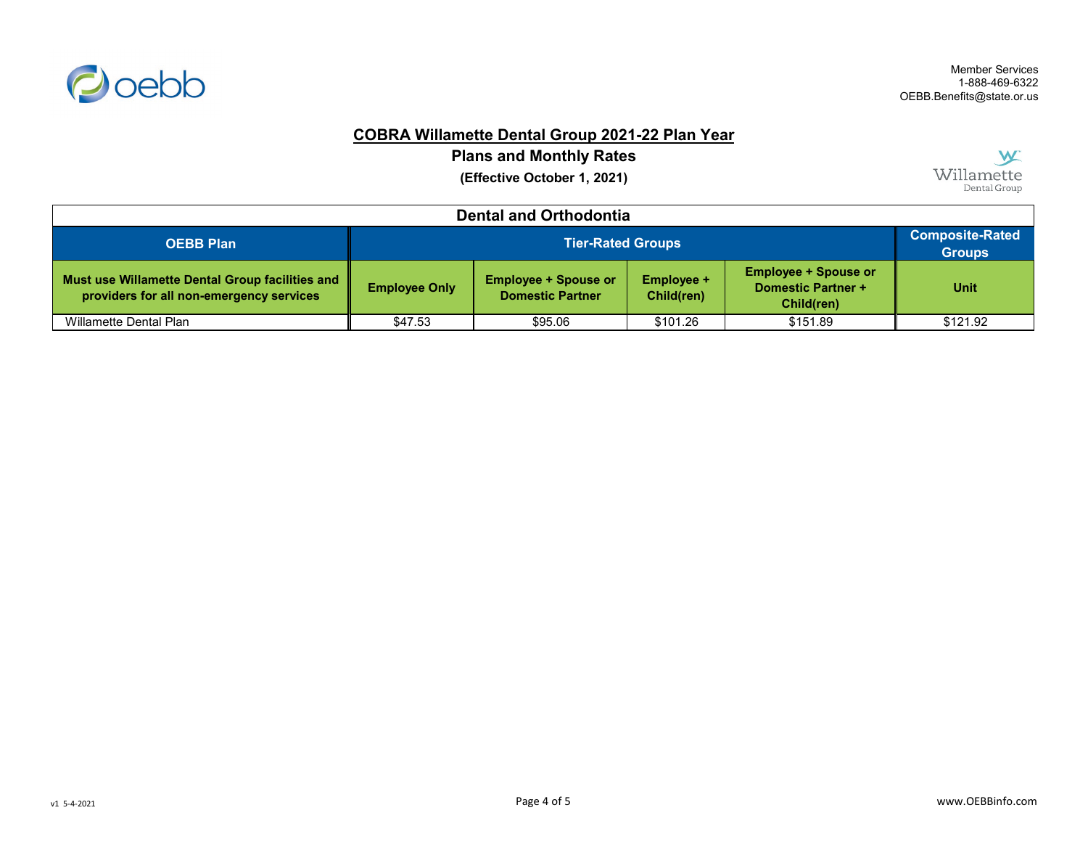

# **COBRA Willamette Dental Group 2021-22 Plan Year**

**Plans and Monthly Rates**

**(Effective October 1, 2021)**



| <b>Dental and Orthodontia</b>                                                               |                      |                                                                                                                                                              |          |          |          |  |
|---------------------------------------------------------------------------------------------|----------------------|--------------------------------------------------------------------------------------------------------------------------------------------------------------|----------|----------|----------|--|
| <b>OEBB Plan</b>                                                                            |                      | <b>Tier-Rated Groups</b>                                                                                                                                     |          |          |          |  |
| Must use Willamette Dental Group facilities and<br>providers for all non-emergency services | <b>Employee Only</b> | <b>Employee + Spouse or</b><br><b>Employee + Spouse or</b><br>Employee +<br><b>Domestic Partner +</b><br><b>Domestic Partner</b><br>Child(ren)<br>Child(ren) |          |          |          |  |
| Willamette Dental Plan                                                                      | \$47.53              | \$95.06                                                                                                                                                      | \$101.26 | \$151.89 | \$121.92 |  |